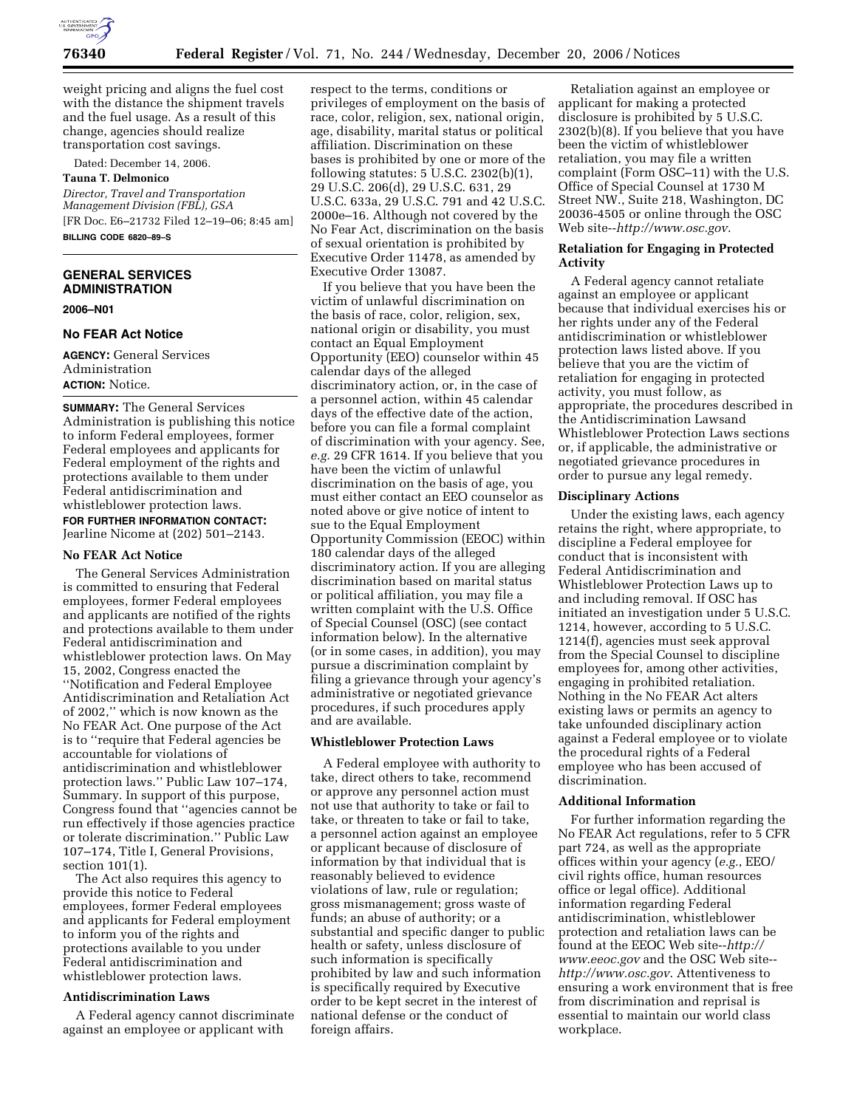

weight pricing and aligns the fuel cost with the distance the shipment travels and the fuel usage. As a result of this change, agencies should realize transportation cost savings.

Dated: December 14, 2006.

# **Tauna T. Delmonico**

*Director, Travel and Transportation Management Division (FBL), GSA*  [FR Doc. E6–21732 Filed 12–19–06; 8:45 am] **BILLING CODE 6820–89–S** 

# **GENERAL SERVICES ADMINISTRATION**

**2006–N01** 

#### **No FEAR Act Notice**

**AGENCY:** General Services Administration **ACTION:** Notice.

**SUMMARY:** The General Services Administration is publishing this notice to inform Federal employees, former Federal employees and applicants for Federal employment of the rights and protections available to them under Federal antidiscrimination and whistleblower protection laws.

**FOR FURTHER INFORMATION CONTACT:**  Jearline Nicome at (202) 501–2143.

## **No FEAR Act Notice**

The General Services Administration is committed to ensuring that Federal employees, former Federal employees and applicants are notified of the rights and protections available to them under Federal antidiscrimination and whistleblower protection laws. On May 15, 2002, Congress enacted the ''Notification and Federal Employee Antidiscrimination and Retaliation Act of 2002,'' which is now known as the No FEAR Act. One purpose of the Act is to ''require that Federal agencies be accountable for violations of antidiscrimination and whistleblower protection laws.'' Public Law 107–174, Summary. In support of this purpose, Congress found that ''agencies cannot be run effectively if those agencies practice or tolerate discrimination.'' Public Law 107–174, Title I, General Provisions, section 101(1).

The Act also requires this agency to provide this notice to Federal employees, former Federal employees and applicants for Federal employment to inform you of the rights and protections available to you under Federal antidiscrimination and whistleblower protection laws.

### **Antidiscrimination Laws**

A Federal agency cannot discriminate against an employee or applicant with

respect to the terms, conditions or privileges of employment on the basis of race, color, religion, sex, national origin, age, disability, marital status or political affiliation. Discrimination on these bases is prohibited by one or more of the following statutes: 5 U.S.C. 2302(b)(1), 29 U.S.C. 206(d), 29 U.S.C. 631, 29 U.S.C. 633a, 29 U.S.C. 791 and 42 U.S.C. 2000e–16. Although not covered by the No Fear Act, discrimination on the basis of sexual orientation is prohibited by Executive Order 11478, as amended by Executive Order 13087.

If you believe that you have been the victim of unlawful discrimination on the basis of race, color, religion, sex, national origin or disability, you must contact an Equal Employment Opportunity (EEO) counselor within 45 calendar days of the alleged discriminatory action, or, in the case of a personnel action, within 45 calendar days of the effective date of the action, before you can file a formal complaint of discrimination with your agency. See, *e.g.* 29 CFR 1614. If you believe that you have been the victim of unlawful discrimination on the basis of age, you must either contact an EEO counselor as noted above or give notice of intent to sue to the Equal Employment Opportunity Commission (EEOC) within 180 calendar days of the alleged discriminatory action. If you are alleging discrimination based on marital status or political affiliation, you may file a written complaint with the U.S. Office of Special Counsel (OSC) (see contact information below). In the alternative (or in some cases, in addition), you may pursue a discrimination complaint by filing a grievance through your agency's administrative or negotiated grievance procedures, if such procedures apply and are available.

#### **Whistleblower Protection Laws**

A Federal employee with authority to take, direct others to take, recommend or approve any personnel action must not use that authority to take or fail to take, or threaten to take or fail to take, a personnel action against an employee or applicant because of disclosure of information by that individual that is reasonably believed to evidence violations of law, rule or regulation; gross mismanagement; gross waste of funds; an abuse of authority; or a substantial and specific danger to public health or safety, unless disclosure of such information is specifically prohibited by law and such information is specifically required by Executive order to be kept secret in the interest of national defense or the conduct of foreign affairs.

Retaliation against an employee or applicant for making a protected disclosure is prohibited by 5 U.S.C. 2302(b)(8). If you believe that you have been the victim of whistleblower retaliation, you may file a written complaint (Form OSC–11) with the U.S. Office of Special Counsel at 1730 M Street NW., Suite 218, Washington, DC 20036-4505 or online through the OSC Web site--*http://www.osc.gov*.

#### **Retaliation for Engaging in Protected Activity**

A Federal agency cannot retaliate against an employee or applicant because that individual exercises his or her rights under any of the Federal antidiscrimination or whistleblower protection laws listed above. If you believe that you are the victim of retaliation for engaging in protected activity, you must follow, as appropriate, the procedures described in the Antidiscrimination Lawsand Whistleblower Protection Laws sections or, if applicable, the administrative or negotiated grievance procedures in order to pursue any legal remedy.

#### **Disciplinary Actions**

Under the existing laws, each agency retains the right, where appropriate, to discipline a Federal employee for conduct that is inconsistent with Federal Antidiscrimination and Whistleblower Protection Laws up to and including removal. If OSC has initiated an investigation under 5 U.S.C. 1214, however, according to 5 U.S.C. 1214(f), agencies must seek approval from the Special Counsel to discipline employees for, among other activities, engaging in prohibited retaliation. Nothing in the No FEAR Act alters existing laws or permits an agency to take unfounded disciplinary action against a Federal employee or to violate the procedural rights of a Federal employee who has been accused of discrimination.

## **Additional Information**

For further information regarding the No FEAR Act regulations, refer to 5 CFR part 724, as well as the appropriate offices within your agency (*e.g.*, EEO/ civil rights office, human resources office or legal office). Additional information regarding Federal antidiscrimination, whistleblower protection and retaliation laws can be found at the EEOC Web site--*http:// www.eeoc.gov* and the OSC Web site- *http://www.osc.gov*. Attentiveness to ensuring a work environment that is free from discrimination and reprisal is essential to maintain our world class workplace.